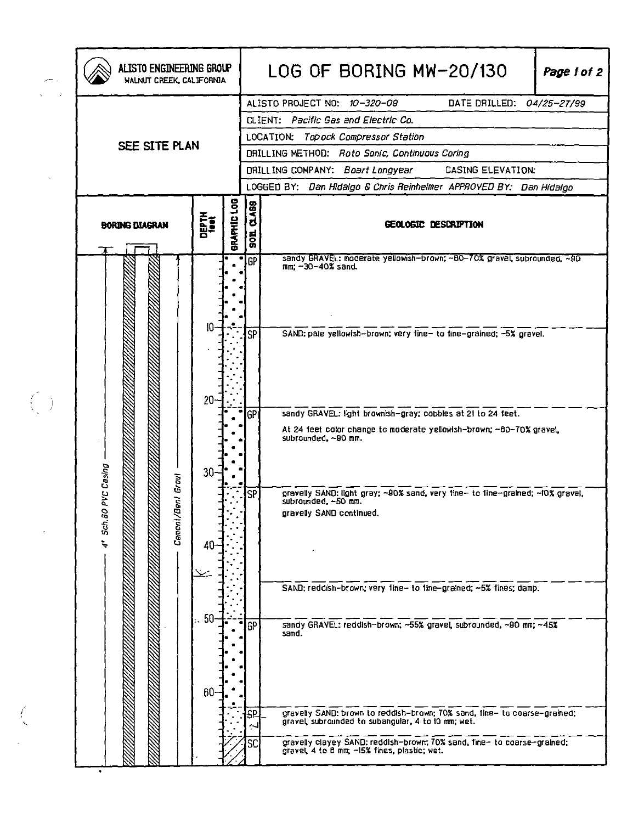|  | ALISTO ENGINEERING GROUP<br>WALNUT CREEK, CALIFORNIA |                          |             |                               | LOG OF BORING MW-20/130<br>Page 1 of 2                                                                                            |
|--|------------------------------------------------------|--------------------------|-------------|-------------------------------|-----------------------------------------------------------------------------------------------------------------------------------|
|  |                                                      |                          |             |                               | ALISTO PROJECT NO: 10-320-09<br>DATE DRILLED: 04/25-27/99                                                                         |
|  |                                                      |                          |             |                               | CLIENT: Pacific Gas and Electric Co.                                                                                              |
|  | SEE SITE PLAN                                        |                          |             |                               | LOCATION: Topock Compressor Station                                                                                               |
|  |                                                      |                          |             |                               | DRILLING METHOD: Roto Sonic, Continuous Coring                                                                                    |
|  |                                                      |                          |             |                               | DRILLING COMPANY: Boart Longyear<br><b>CASING ELEVATION:</b>                                                                      |
|  |                                                      |                          |             |                               | LOGGED BY: Dan Hidalgo & Chris Reinheimer APPROVED BY: Dan Hidalgo                                                                |
|  | <b>BORING DIAGRAM</b>                                | DEPTH<br><sup>1001</sup> | BRAPHIC LOG | <b>CLASS</b><br>$\frac{1}{5}$ | GEOLOGIC DESCRIPTION                                                                                                              |
|  |                                                      |                          |             | <b>GP</b>                     | sandy GRAVEL: moderate yellowish-brown; ~60-70% gravel, subrounded, ~90<br>$mn: -30-40%$ sand.                                    |
|  |                                                      | 10                       |             |                               |                                                                                                                                   |
|  |                                                      |                          |             | <b>SP</b>                     | SAND: pale yellowish-brown; very fine- to fine-grained; -5% gravel.                                                               |
|  |                                                      | $20 -$                   |             | GP                            | sandy GRAVEL: light brownish-gray; cobbles at 21 to 24 feet.                                                                      |
|  |                                                      | $30 -$                   |             |                               | At 24 feet color change to moderate yellowish-brown; ~80-70% gravel,<br>subrounded, ~90 mm.                                       |
|  | PVC Cesing<br>Groul<br>ţ<br>Cement/Be<br>Sch.BO      | 40                       |             | <b>SP</b>                     | gravelly SAND: light gray; ~90% sand, very fine- to fine-grained; ~10% gravel,<br>subrounded, -50 mm.<br>gravelly SAND continued. |
|  |                                                      | -50                      |             |                               | SAND: reddish-brown; very fine- to fine-grained; ~5% fines; damp.                                                                 |
|  |                                                      | $60-$                    |             | GP                            | sandy GRAVEL: reddish-brown; ~55% gravel, subrounded, ~90 mm; ~45%<br>sand.                                                       |
|  |                                                      |                          |             | S۴                            | gravelly SAND: brown to reddish-brown; 70% sand, fine- to coarse-grained;<br>gravel, subrounded to subangular, 4 to 10 mm; wet.   |
|  |                                                      |                          |             | SC                            | gravelly clayey SAND: reddish-brown; 70% sand, fine- to coarse-grained;<br>gravel, 4 to 8 mm; -15% fines, plastic; wet.           |

 $\left\langle \right\rangle$ 

 $\hat{\mathcal{L}}$